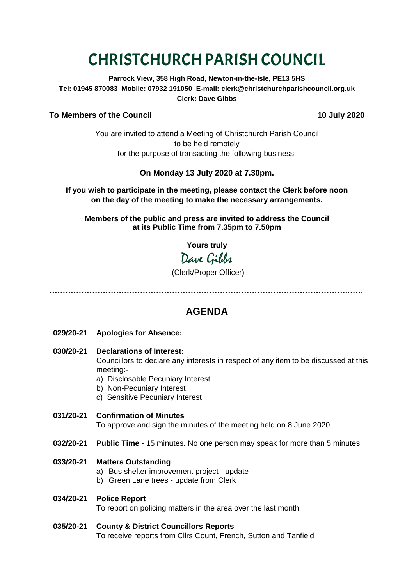# CHRISTCHURCH PARISH COUNCIL

**Parrock View, 358 High Road, Newton-in-the-Isle, PE13 5HS Tel: 01945 870083 Mobile: 07932 191050 E-mail: clerk@christchurchparishcouncil.org.uk Clerk: Dave Gibbs**

### **To Members of the Council 10 July 2020**

You are invited to attend a Meeting of Christchurch Parish Council to be held remotely for the purpose of transacting the following business.

# **On Monday 13 July 2020 at 7.30pm.**

**If you wish to participate in the meeting, please contact the Clerk before noon on the day of the meeting to make the necessary arrangements.**

**Members of the public and press are invited to address the Council at its Public Time from 7.35pm to 7.50pm**

**Yours truly**

Dave Gibbs

# (Clerk/Proper Officer)

**………………………………………………………………………………………………….……**

# **AGENDA**

- **029/20-21 Apologies for Absence:**
- **030/20-21 Declarations of Interest:**  Councillors to declare any interests in respect of any item to be discussed at this meeting:
	- a) Disclosable Pecuniary Interest
	- b) Non-Pecuniary Interest
	- c) Sensitive Pecuniary Interest
- **031/20-21 Confirmation of Minutes**  To approve and sign the minutes of the meeting held on 8 June 2020
- **032/20-21 Public Time** 15 minutes. No one person may speak for more than 5 minutes

#### **033/20-21 Matters Outstanding**

- a) Bus shelter improvement project update
- b) Green Lane trees update from Clerk

#### **034/20-21 Police Report**

To report on policing matters in the area over the last month

#### **035/20-21 County & District Councillors Reports**

To receive reports from Cllrs Count, French, Sutton and Tanfield